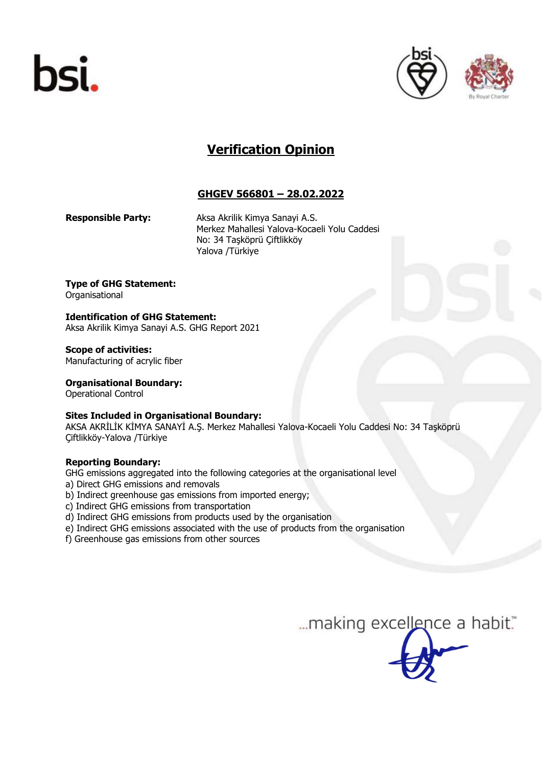





# Verification Opinion

# GHGEV 566801 – 28.02.2022

Responsible Party: Aksa Akrilik Kimya Sanayi A.S. Merkez Mahallesi Yalova-Kocaeli Yolu Caddesi No: 34 Taşköprü Çiftlikköy Yalova /Türkiye

Type of GHG Statement: Organisational

Identification of GHG Statement: Aksa Akrilik Kimya Sanayi A.S. GHG Report 2021

Scope of activities: Manufacturing of acrylic fiber

Organisational Boundary:

Operational Control

## Sites Included in Organisational Boundary:

AKSA AKRİLİK KİMYA SANAYİ A.Ş. Merkez Mahallesi Yalova-Kocaeli Yolu Caddesi No: 34 Taşköprü Çiftlikköy-Yalova /Türkiye

## Reporting Boundary:

GHG emissions aggregated into the following categories at the organisational level

- a) Direct GHG emissions and removals
- b) Indirect greenhouse gas emissions from imported energy;
- c) Indirect GHG emissions from transportation
- d) Indirect GHG emissions from products used by the organisation
- e) Indirect GHG emissions associated with the use of products from the organisation
- f) Greenhouse gas emissions from other sources

... making excellence a habit."

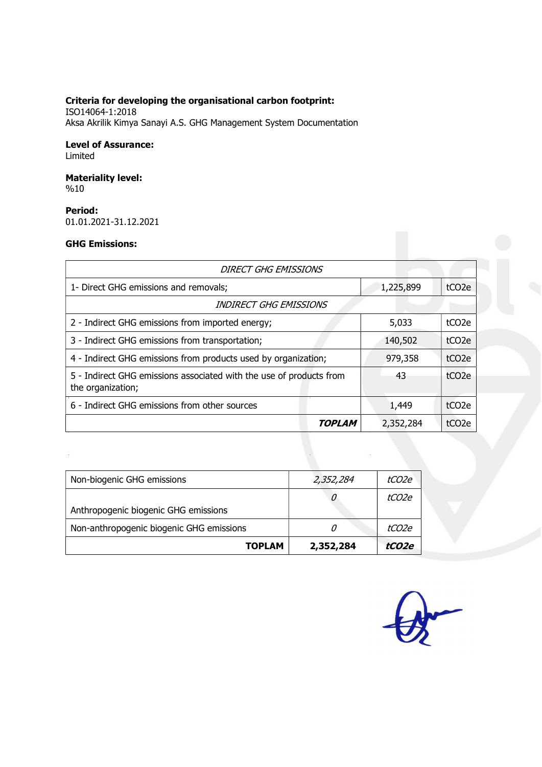## Criteria for developing the organisational carbon footprint:

ISO14064-1:2018 Aksa Akrilik Kimya Sanayi A.S. GHG Management System Documentation

#### Level of Assurance: Limited

## Materiality level: %10

## Period:

01.01.2021-31.12.2021

## GHG Emissions:

| <b>DIRECT GHG EMISSIONS</b>                                                              |           |                    |  |
|------------------------------------------------------------------------------------------|-----------|--------------------|--|
| 1- Direct GHG emissions and removals;                                                    | 1,225,899 | tCO <sub>2</sub> e |  |
| INDIRECT GHG EMISSIONS                                                                   |           |                    |  |
| 2 - Indirect GHG emissions from imported energy;                                         | 5,033     | tCO <sub>2</sub> e |  |
| 3 - Indirect GHG emissions from transportation;                                          | 140,502   | tCO <sub>2</sub> e |  |
| 4 - Indirect GHG emissions from products used by organization;                           | 979,358   | tCO <sub>2</sub> e |  |
| 5 - Indirect GHG emissions associated with the use of products from<br>the organization; | 43        | tCO <sub>2</sub> e |  |
| 6 - Indirect GHG emissions from other sources                                            | 1,449     | tCO <sub>2</sub> e |  |
| TOPLAM                                                                                   | 2,352,284 | tCO <sub>2e</sub>  |  |

| <b>TOPLAM</b>                            | 2,352,284 | tCO2e |
|------------------------------------------|-----------|-------|
| Non-anthropogenic biogenic GHG emissions |           | tCO2e |
| Anthropogenic biogenic GHG emissions     |           |       |
|                                          | υ         | tCO2e |
| Non-biogenic GHG emissions               | 2,352,284 | tCO2e |